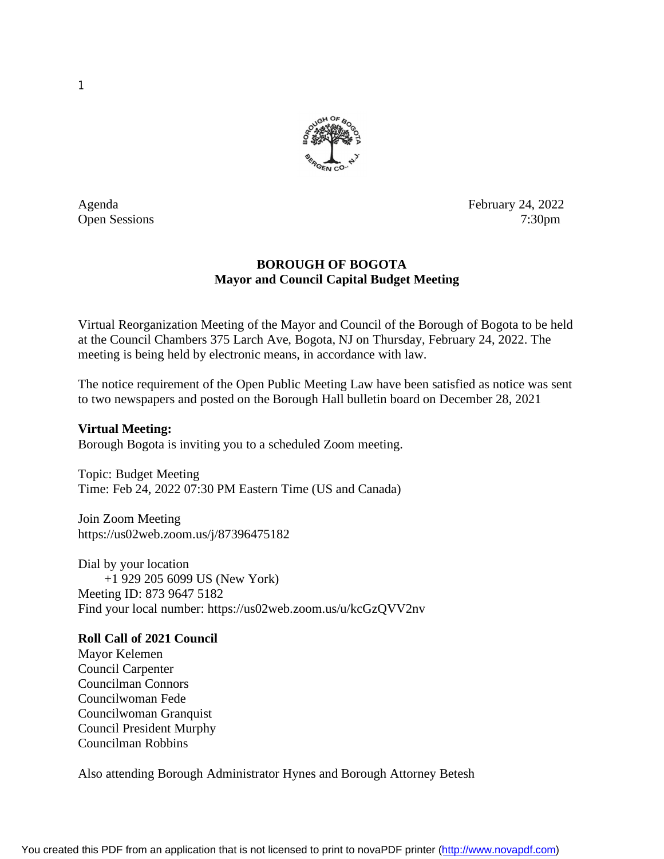

Agenda February 24, 2022 Open Sessions 7:30pm

## **BOROUGH OF BOGOTA Mayor and Council Capital Budget Meeting**

Virtual Reorganization Meeting of the Mayor and Council of the Borough of Bogota to be held at the Council Chambers 375 Larch Ave, Bogota, NJ on Thursday, February 24, 2022. The meeting is being held by electronic means, in accordance with law.

The notice requirement of the Open Public Meeting Law have been satisfied as notice was sent to two newspapers and posted on the Borough Hall bulletin board on December 28, 2021

**Virtual Meeting:** Borough Bogota is inviting you to a scheduled Zoom meeting.

Topic: Budget Meeting Time: Feb 24, 2022 07:30 PM Eastern Time (US and Canada)

Join Zoom Meeting <https://us02web.zoom.us/j/87396475182>

Dial by your location +1 929 205 6099 US (New York) Meeting ID: 873 9647 5182 Find your local number: <https://us02web.zoom.us/u/kcGzQVV2nv>

## **Roll Call of 2021 Council**

Mayor Kelemen Council Carpenter Councilman Connors Councilwoman Fede Councilwoman Granquist Council President Murphy Councilman Robbins

Also attending Borough Administrator Hynes and Borough Attorney Betesh